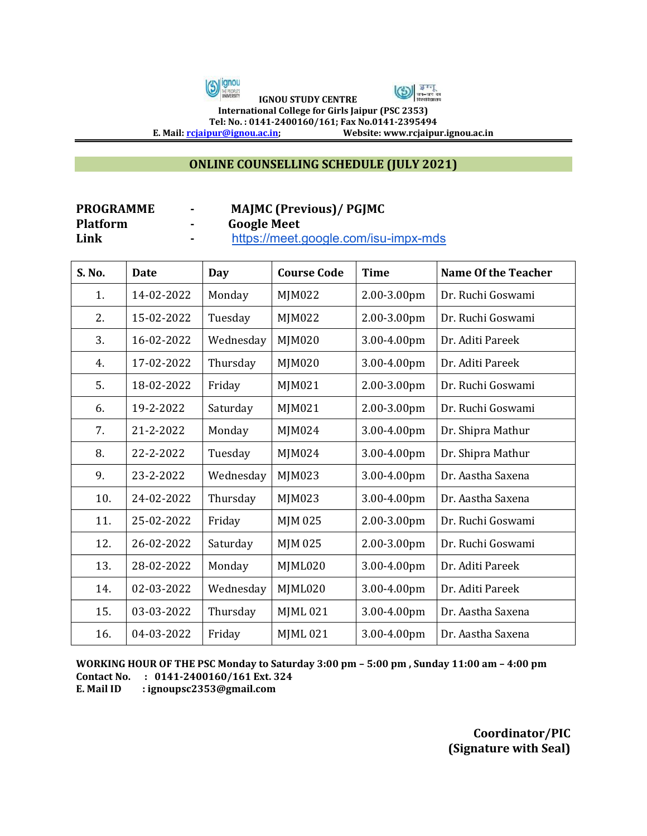



 **IGNOU STUDY CENTRE International College for Girls Jaipur (PSC 2353)**

**Tel: No. : 0141-2400160/161; Fax No.0141-2395494**<br>E. Mail: **<u>rcjaipur@ignou.ac.in</u>; Website: www.rcjaipu** 

**E. Mail[: rcjaipur@ignou.ac.in;](mailto:rcjaipur@ignou.ac.in) Website: www.rcjaipur.ignou.ac.in**

## **ONLINE COUNSELLING SCHEDULE (JULY 2021)**

| <b>PROGRAMME</b> | $\blacksquare$ | <b>MAJMC (Previous)/ PGJMC</b>       |
|------------------|----------------|--------------------------------------|
| <b>Platform</b>  |                | <b>Google Meet</b>                   |
| Link             |                | https://meet.google.com/isu-impx-mds |

| S. No. | <b>Date</b> | Day       | <b>Course Code</b> | <b>Time</b> | <b>Name Of the Teacher</b> |
|--------|-------------|-----------|--------------------|-------------|----------------------------|
| 1.     | 14-02-2022  | Monday    | <b>MJM022</b>      | 2.00-3.00pm | Dr. Ruchi Goswami          |
| 2.     | 15-02-2022  | Tuesday   | MJM022             | 2.00-3.00pm | Dr. Ruchi Goswami          |
| 3.     | 16-02-2022  | Wednesday | MJM020             | 3.00-4.00pm | Dr. Aditi Pareek           |
| 4.     | 17-02-2022  | Thursday  | MJM020             | 3.00-4.00pm | Dr. Aditi Pareek           |
| 5.     | 18-02-2022  | Friday    | MJM021             | 2.00-3.00pm | Dr. Ruchi Goswami          |
| 6.     | 19-2-2022   | Saturday  | MJM021             | 2.00-3.00pm | Dr. Ruchi Goswami          |
| 7.     | 21-2-2022   | Monday    | MJM024             | 3.00-4.00pm | Dr. Shipra Mathur          |
| 8.     | 22-2-2022   | Tuesday   | MJM024             | 3.00-4.00pm | Dr. Shipra Mathur          |
| 9.     | 23-2-2022   | Wednesday | MJM023             | 3.00-4.00pm | Dr. Aastha Saxena          |
| 10.    | 24-02-2022  | Thursday  | MJM023             | 3.00-4.00pm | Dr. Aastha Saxena          |
| 11.    | 25-02-2022  | Friday    | MJM 025            | 2.00-3.00pm | Dr. Ruchi Goswami          |
| 12.    | 26-02-2022  | Saturday  | MJM 025            | 2.00-3.00pm | Dr. Ruchi Goswami          |
| 13.    | 28-02-2022  | Monday    | MJML020            | 3.00-4.00pm | Dr. Aditi Pareek           |
| 14.    | 02-03-2022  | Wednesday | MJML020            | 3.00-4.00pm | Dr. Aditi Pareek           |
| 15.    | 03-03-2022  | Thursday  | <b>MJML021</b>     | 3.00-4.00pm | Dr. Aastha Saxena          |
| 16.    | 04-03-2022  | Friday    | <b>MJML021</b>     | 3.00-4.00pm | Dr. Aastha Saxena          |

**WORKING HOUR OF THE PSC Monday to Saturday 3:00 pm – 5:00 pm , Sunday 11:00 am – 4:00 pm Contact No. : 0141-2400160/161 Ext. 324** 

**E. Mail ID : ignoupsc2353@gmail.com** 

**Coordinator/PIC (Signature with Seal)**